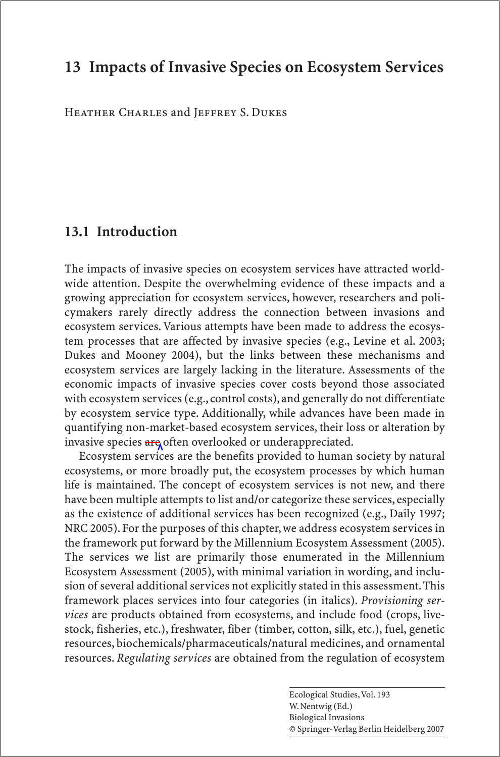Heather Charles and Jeffrey S. Dukes

## **13.1 Introduction**

The impacts of invasive species on ecosystem services have attracted worldwide attention. Despite the overwhelming evidence of these impacts and a growing appreciation for ecosystem services, however, researchers and policymakers rarely directly address the connection between invasions and ecosystem services. Various attempts have been made to address the ecosystem processes that are affected by invasive species (e.g., Levine et al. 2003; Dukes and Mooney 2004), but the links between these mechanisms and ecosystem services are largely lacking in the literature. Assessments of the economic impacts of invasive species cover costs beyond those associated with ecosystem services (e.g., control costs), and generally do not differentiate by ecosystem service type. Additionally, while advances have been made in quantifying non-market-based ecosystem services, their loss or alteration by invasive species are often overlooked or underappreciated.

Ecosystem services are the benefits provided to human society by natural ecosystems, or more broadly put, the ecosystem processes by which human life is maintained. The concept of ecosystem services is not new, and there have been multiple attempts to list and/or categorize these services, especially as the existence of additional services has been recognized (e.g., Daily 1997; NRC 2005). For the purposes of this chapter, we address ecosystem services in the framework put forward by the Millennium Ecosystem Assessment (2005). The services we list are primarily those enumerated in the Millennium Ecosystem Assessment (2005), with minimal variation in wording, and inclusion of several additional services not explicitly stated in this assessment. This framework places services into four categories (in italics). *Provisioning services* are products obtained from ecosystems, and include food (crops, livestock, fisheries, etc.), freshwater, fiber (timber, cotton, silk, etc.), fuel, genetic resources, biochemicals/pharmaceuticals/natural medicines, and ornamental resources. *Regulating services* are obtained from the regulation of ecosystem

> Ecological Studies, Vol. 193 W. Nentwig (Ed.) Biological Invasions © Springer-Verlag Berlin Heidelberg 2007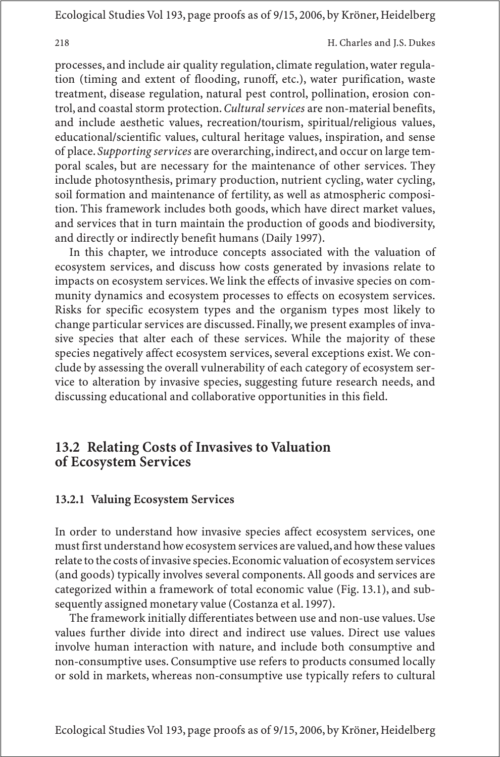218 H. Charles and J.S. Dukes

processes, and include air quality regulation, climate regulation, water regulation (timing and extent of flooding, runoff, etc.), water purification, waste treatment, disease regulation, natural pest control, pollination, erosion control, and coastal storm protection.*Cultural services* are non-material benefits, and include aesthetic values, recreation/tourism, spiritual/religious values, educational/scientific values, cultural heritage values, inspiration, and sense of place. *Supporting services* are overarching, indirect, and occur on large temporal scales, but are necessary for the maintenance of other services. They include photosynthesis, primary production, nutrient cycling, water cycling, soil formation and maintenance of fertility, as well as atmospheric composition. This framework includes both goods, which have direct market values, and services that in turn maintain the production of goods and biodiversity, and directly or indirectly benefit humans (Daily 1997).

In this chapter, we introduce concepts associated with the valuation of ecosystem services, and discuss how costs generated by invasions relate to impacts on ecosystem services.We link the effects of invasive species on community dynamics and ecosystem processes to effects on ecosystem services. Risks for specific ecosystem types and the organism types most likely to change particular services are discussed. Finally, we present examples of invasive species that alter each of these services. While the majority of these species negatively affect ecosystem services, several exceptions exist. We conclude by assessing the overall vulnerability of each category of ecosystem service to alteration by invasive species, suggesting future research needs, and discussing educational and collaborative opportunities in this field.

## **13.2 Relating Costs of Invasives to Valuation of Ecosystem Services**

#### **13.2.1 Valuing Ecosystem Services**

In order to understand how invasive species affect ecosystem services, one must first understand how ecosystem services are valued,and how these values relate to the costs of invasive species.Economic valuation of ecosystem services (and goods) typically involves several components.All goods and services are categorized within a framework of total economic value (Fig. 13.1), and subsequently assigned monetary value (Costanza et al. 1997).

The framework initially differentiates between use and non-use values. Use values further divide into direct and indirect use values. Direct use values involve human interaction with nature, and include both consumptive and non-consumptive uses. Consumptive use refers to products consumed locally or sold in markets, whereas non-consumptive use typically refers to cultural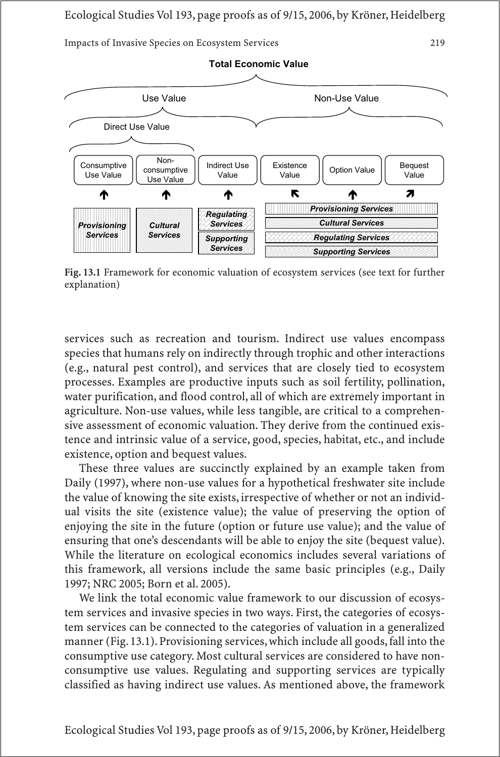



**Fig. 13.1** Framework for economic valuation of ecosystem services (see text for further explanation)

services such as recreation and tourism. Indirect use values encompass species that humans rely on indirectly through trophic and other interactions (e.g., natural pest control), and services that are closely tied to ecosystem processes. Examples are productive inputs such as soil fertility, pollination, water purification, and flood control, all of which are extremely important in agriculture. Non-use values, while less tangible, are critical to a comprehensive assessment of economic valuation. They derive from the continued existence and intrinsic value of a service, good, species, habitat, etc., and include existence, option and bequest values.

These three values are succinctly explained by an example taken from Daily (1997), where non-use values for a hypothetical freshwater site include the value of knowing the site exists, irrespective of whether or not an individual visits the site (existence value); the value of preserving the option of enjoying the site in the future (option or future use value); and the value of ensuring that one's descendants will be able to enjoy the site (bequest value). While the literature on ecological economics includes several variations of this framework, all versions include the same basic principles (e.g., Daily 1997; NRC 2005; Born et al. 2005).

We link the total economic value framework to our discussion of ecosystem services and invasive species in two ways. First, the categories of ecosystem services can be connected to the categories of valuation in a generalized manner (Fig. 13.1). Provisioning services, which include all goods, fall into the consumptive use category. Most cultural services are considered to have nonconsumptive use values. Regulating and supporting services are typically classified as having indirect use values. As mentioned above, the framework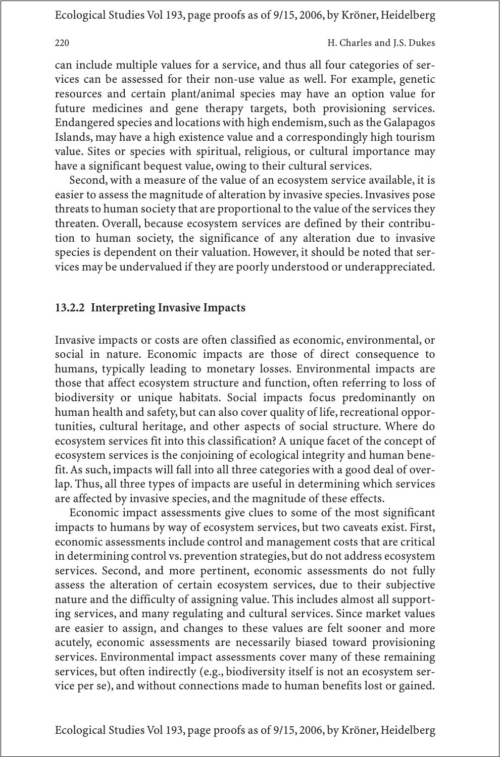220 H. Charles and J.S. Dukes

can include multiple values for a service, and thus all four categories of services can be assessed for their non-use value as well. For example, genetic resources and certain plant/animal species may have an option value for future medicines and gene therapy targets, both provisioning services. Endangered species and locations with high endemism, such as the Galapagos Islands, may have a high existence value and a correspondingly high tourism value. Sites or species with spiritual, religious, or cultural importance may have a significant bequest value, owing to their cultural services.

Second, with a measure of the value of an ecosystem service available, it is easier to assess the magnitude of alteration by invasive species. Invasives pose threats to human society that are proportional to the value of the services they threaten. Overall, because ecosystem services are defined by their contribution to human society, the significance of any alteration due to invasive species is dependent on their valuation. However, it should be noted that services may be undervalued if they are poorly understood or underappreciated.

#### **13.2.2 Interpreting Invasive Impacts**

Invasive impacts or costs are often classified as economic, environmental, or social in nature. Economic impacts are those of direct consequence to humans, typically leading to monetary losses. Environmental impacts are those that affect ecosystem structure and function, often referring to loss of biodiversity or unique habitats. Social impacts focus predominantly on human health and safety, but can also cover quality of life, recreational opportunities, cultural heritage, and other aspects of social structure. Where do ecosystem services fit into this classification? A unique facet of the concept of ecosystem services is the conjoining of ecological integrity and human benefit. As such, impacts will fall into all three categories with a good deal of overlap. Thus, all three types of impacts are useful in determining which services are affected by invasive species, and the magnitude of these effects.

Economic impact assessments give clues to some of the most significant impacts to humans by way of ecosystem services, but two caveats exist. First, economic assessments include control and management costs that are critical in determining control vs. prevention strategies, but do not address ecosystem services. Second, and more pertinent, economic assessments do not fully assess the alteration of certain ecosystem services, due to their subjective nature and the difficulty of assigning value. This includes almost all supporting services, and many regulating and cultural services. Since market values are easier to assign, and changes to these values are felt sooner and more acutely, economic assessments are necessarily biased toward provisioning services. Environmental impact assessments cover many of these remaining services, but often indirectly (e.g., biodiversity itself is not an ecosystem service per se), and without connections made to human benefits lost or gained.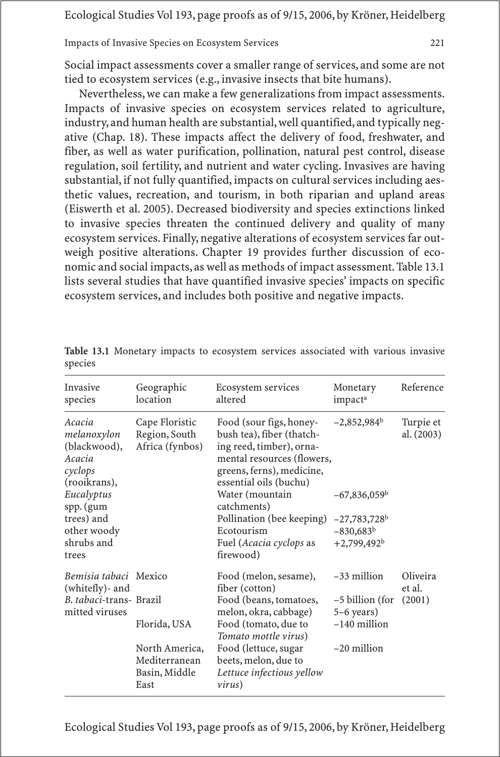Social impact assessments cover a smaller range of services, and some are not tied to ecosystem services (e.g., invasive insects that bite humans).

Nevertheless, we can make a few generalizations from impact assessments. Impacts of invasive species on ecosystem services related to agriculture, industry, and human health are substantial, well quantified, and typically negative (Chap. 18). These impacts affect the delivery of food, freshwater, and fiber, as well as water purification, pollination, natural pest control, disease regulation, soil fertility, and nutrient and water cycling. Invasives are having substantial, if not fully quantified, impacts on cultural services including aesthetic values, recreation, and tourism, in both riparian and upland areas (Eiswerth et al. 2005). Decreased biodiversity and species extinctions linked to invasive species threaten the continued delivery and quality of many ecosystem services. Finally, negative alterations of ecosystem services far outweigh positive alterations. Chapter 19 provides further discussion of economic and social impacts, as well as methods of impact assessment. Table 13.1 lists several studies that have quantified invasive species' impacts on specific ecosystem services, and includes both positive and negative impacts.

| Invasive<br>species                                                        | Geographic<br>location                                   | Ecosystem services<br>altered                                                                                                                                         | Monetary<br>impact <sup>a</sup> | Reference                 |
|----------------------------------------------------------------------------|----------------------------------------------------------|-----------------------------------------------------------------------------------------------------------------------------------------------------------------------|---------------------------------|---------------------------|
| Acacia<br>melanoxylon<br>(blackwood),<br>Acacia<br>cyclops<br>(rooikrans), | Cape Floristic<br>Region, South<br>Africa (fynbos)       | Food (sour figs, honey-<br>bush tea), fiber (thatch-<br>ing reed, timber), orna-<br>mental resources (flowers,<br>greens, ferns), medicine,<br>essential oils (buchu) | $-2,852,984$ <sup>b</sup>       | Turpie et<br>al. $(2003)$ |
| Eucalyptus<br>spp. (gum                                                    |                                                          | Water (mountain<br>catchments)                                                                                                                                        | $-67,836,059b$                  |                           |
| trees) and                                                                 |                                                          | Pollination (bee keeping) $-27,783,728$ <sup>b</sup>                                                                                                                  |                                 |                           |
| other woody                                                                |                                                          | Ecotourism                                                                                                                                                            | $-830,683^{\rm b}$              |                           |
| shrubs and<br>trees                                                        |                                                          | Fuel (Acacia cyclops as<br>firewood)                                                                                                                                  | $+2,799,492b$                   |                           |
| Bemisia tabaci Mexico<br>(whitefly)- and                                   |                                                          | Food (melon, sesame),<br>fiber (cotton)                                                                                                                               | -33 million                     | Oliveira<br>et al.        |
| B. tabaci-trans- Brazil<br>mitted viruses                                  |                                                          | Food (beans, tomatoes,<br>melon, okra, cabbage)                                                                                                                       | -5 billion (for<br>$5-6$ years) | (2001)                    |
|                                                                            | Florida, USA                                             | Food (tomato, due to<br>Tomato mottle virus)                                                                                                                          | -140 million                    |                           |
|                                                                            | North America,<br>Mediterranean<br>Basin, Middle<br>East | Food (lettuce, sugar<br>beets, melon, due to<br>Lettuce infectious yellow<br>virus)                                                                                   | $-20$ million                   |                           |

**Table 13.1** Monetary impacts to ecosystem services associated with various invasive species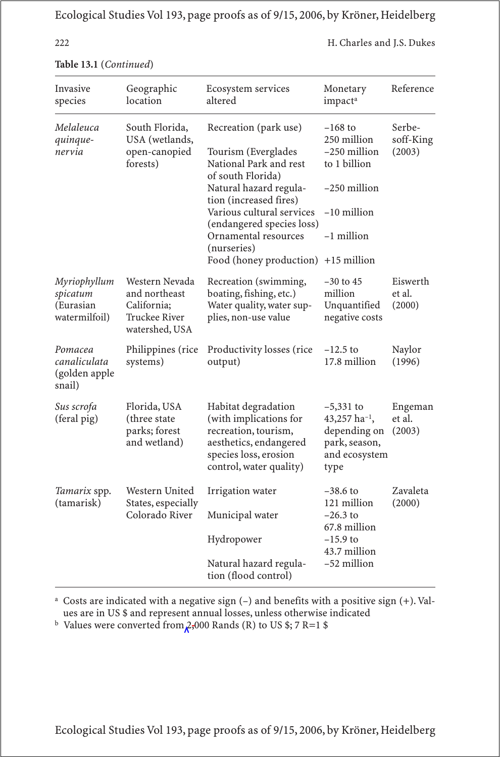222 H. Charles and J.S. Dukes

| Invasive<br>species                                    | Geographic<br>location                                                            | Ecosystem services<br>altered                                                                                                                                                                                                                                               | Monetary<br>impact <sup>a</sup>                                                                                          | Reference                     |
|--------------------------------------------------------|-----------------------------------------------------------------------------------|-----------------------------------------------------------------------------------------------------------------------------------------------------------------------------------------------------------------------------------------------------------------------------|--------------------------------------------------------------------------------------------------------------------------|-------------------------------|
| Melaleuca<br>quinque-<br>nervia                        | South Florida,<br>USA (wetlands,<br>open-canopied<br>forests)                     | Recreation (park use)<br>Tourism (Everglades<br>National Park and rest<br>of south Florida)<br>Natural hazard regula-<br>tion (increased fires)<br>Various cultural services<br>(endangered species loss)<br>Ornamental resources<br>(nurseries)<br>Food (honey production) | $-168$ to<br>250 million<br>–250 million<br>to 1 billion<br>-250 million<br>$-10$ million<br>-1 million<br>$+15$ million | Serbe-<br>soff-King<br>(2003) |
| Myriophyllum<br>spicatum<br>(Eurasian<br>watermilfoil) | Western Nevada<br>and northeast<br>California;<br>Truckee River<br>watershed, USA | Recreation (swimming,<br>boating, fishing, etc.)<br>Water quality, water sup-<br>plies, non-use value                                                                                                                                                                       | $-30$ to $45$<br>million<br>Unquantified<br>negative costs                                                               | Eiswerth<br>et al.<br>(2000)  |
| Pomacea<br>canaliculata<br>(golden apple<br>snail)     | Philippines (rice<br>systems)                                                     | Productivity losses (rice<br>output)                                                                                                                                                                                                                                        | $-12.5$ to<br>17.8 million                                                                                               | Naylor<br>(1996)              |
| Sus scrofa<br>(feral pig)                              | Florida, USA<br>(three state)<br>parks; forest<br>and wetland)                    | Habitat degradation<br>(with implications for<br>recreation, tourism,<br>aesthetics, endangered<br>species loss, erosion<br>control, water quality)                                                                                                                         | –5,331 to<br>$43,257$ ha <sup>-1</sup> ,<br>depending on<br>park, season,<br>and ecosystem<br>type                       | Engeman<br>et al.<br>(2003)   |
| Tamarix spp.<br>(tamarisk)                             | Western United<br>States, especially<br>Colorado River                            | Irrigation water<br>Municipal water<br>Hydropower<br>Natural hazard regula-<br>tion (flood control)                                                                                                                                                                         | –38.6 to<br>121 million<br>$-26.3$ to<br>67.8 million<br>–15.9 to<br>43.7 million<br>-52 million                         | Zavaleta<br>(2000)            |

**Table 13.1** (*Continued*)

<sup>a</sup> Costs are indicated with a negative sign (–) and benefits with a positive sign (+). Values are in US \$ and represent annual losses, unless otherwise indicated

<sup>b</sup> Values were converted from  $2,000$  Rands (R) to US \$; 7 R=1 \$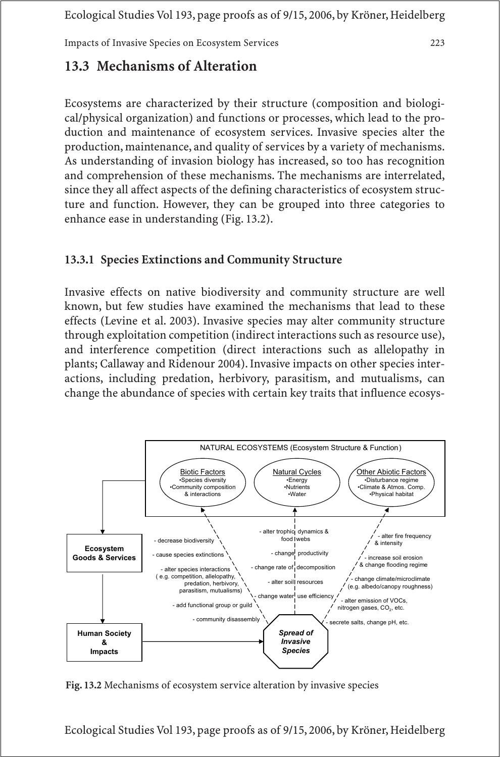## **13.3 Mechanisms of Alteration**

Ecosystems are characterized by their structure (composition and biological/physical organization) and functions or processes, which lead to the production and maintenance of ecosystem services. Invasive species alter the production, maintenance, and quality of services by a variety of mechanisms. As understanding of invasion biology has increased, so too has recognition and comprehension of these mechanisms. The mechanisms are interrelated, since they all affect aspects of the defining characteristics of ecosystem structure and function. However, they can be grouped into three categories to enhance ease in understanding (Fig. 13.2).

## **13.3.1 Species Extinctions and Community Structure**

Invasive effects on native biodiversity and community structure are well known, but few studies have examined the mechanisms that lead to these effects (Levine et al. 2003). Invasive species may alter community structure through exploitation competition (indirect interactions such as resource use), and interference competition (direct interactions such as allelopathy in plants; Callaway and Ridenour 2004). Invasive impacts on other species interactions, including predation, herbivory, parasitism, and mutualisms, can change the abundance of species with certain key traits that influence ecosys-



**Fig. 13.2** Mechanisms of ecosystem service alteration by invasive species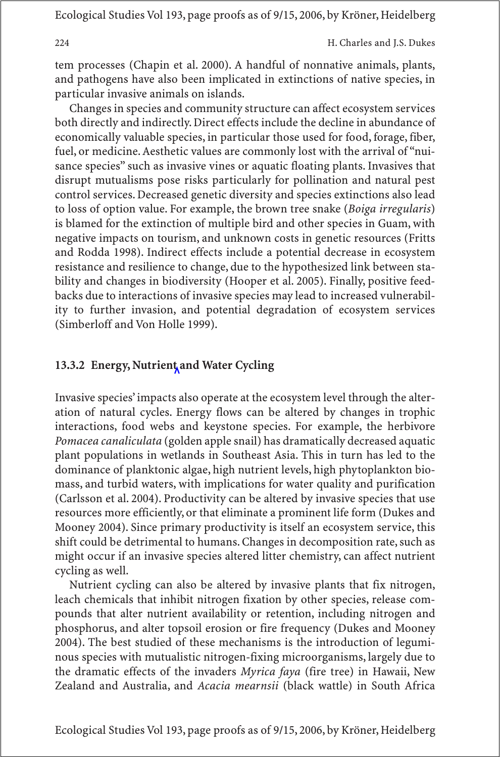224 H. Charles and J.S. Dukes

tem processes (Chapin et al. 2000). A handful of nonnative animals, plants, and pathogens have also been implicated in extinctions of native species, in particular invasive animals on islands.

Changes in species and community structure can affect ecosystem services both directly and indirectly. Direct effects include the decline in abundance of economically valuable species, in particular those used for food, forage, fiber, fuel, or medicine. Aesthetic values are commonly lost with the arrival of "nuisance species" such as invasive vines or aquatic floating plants. Invasives that disrupt mutualisms pose risks particularly for pollination and natural pest control services. Decreased genetic diversity and species extinctions also lead to loss of option value. For example, the brown tree snake (*Boiga irregularis*) is blamed for the extinction of multiple bird and other species in Guam, with negative impacts on tourism, and unknown costs in genetic resources (Fritts and Rodda 1998). Indirect effects include a potential decrease in ecosystem resistance and resilience to change, due to the hypothesized link between stability and changes in biodiversity (Hooper et al. 2005). Finally, positive feedbacks due to interactions of invasive species may lead to increased vulnerability to further invasion, and potential degradation of ecosystem services (Simberloff and Von Holle 1999).

### 13.3.2 Energy, Nutrient, and Water Cycling

Invasive species' impacts also operate at the ecosystem level through the alteration of natural cycles. Energy flows can be altered by changes in trophic interactions, food webs and keystone species. For example, the herbivore *Pomacea canaliculata* (golden apple snail) has dramatically decreased aquatic plant populations in wetlands in Southeast Asia. This in turn has led to the dominance of planktonic algae, high nutrient levels, high phytoplankton biomass, and turbid waters, with implications for water quality and purification (Carlsson et al. 2004). Productivity can be altered by invasive species that use resources more efficiently, or that eliminate a prominent life form (Dukes and Mooney 2004). Since primary productivity is itself an ecosystem service, this shift could be detrimental to humans. Changes in decomposition rate, such as might occur if an invasive species altered litter chemistry, can affect nutrient cycling as well.

Nutrient cycling can also be altered by invasive plants that fix nitrogen, leach chemicals that inhibit nitrogen fixation by other species, release compounds that alter nutrient availability or retention, including nitrogen and phosphorus, and alter topsoil erosion or fire frequency (Dukes and Mooney 2004). The best studied of these mechanisms is the introduction of leguminous species with mutualistic nitrogen-fixing microorganisms, largely due to the dramatic effects of the invaders *Myrica faya* (fire tree) in Hawaii, New Zealand and Australia, and *Acacia mearnsii* (black wattle) in South Africa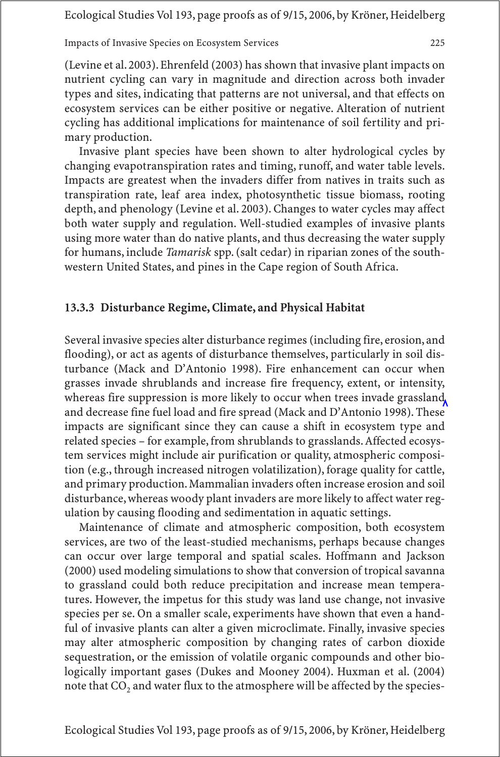(Levine et al. 2003). Ehrenfeld (2003) has shown that invasive plant impacts on nutrient cycling can vary in magnitude and direction across both invader types and sites, indicating that patterns are not universal, and that effects on ecosystem services can be either positive or negative. Alteration of nutrient cycling has additional implications for maintenance of soil fertility and primary production.

Invasive plant species have been shown to alter hydrological cycles by changing evapotranspiration rates and timing, runoff, and water table levels. Impacts are greatest when the invaders differ from natives in traits such as transpiration rate, leaf area index, photosynthetic tissue biomass, rooting depth, and phenology (Levine et al. 2003). Changes to water cycles may affect both water supply and regulation. Well-studied examples of invasive plants using more water than do native plants, and thus decreasing the water supply for humans, include *Tamarisk* spp. (salt cedar) in riparian zones of the southwestern United States, and pines in the Cape region of South Africa.

#### **13.3.3 Disturbance Regime, Climate, and Physical Habitat**

Several invasive species alter disturbance regimes (including fire, erosion, and flooding), or act as agents of disturbance themselves, particularly in soil disturbance (Mack and D'Antonio 1998). Fire enhancement can occur when grasses invade shrublands and increase fire frequency, extent, or intensity, whereas fire suppression is more likely to occur when trees invade grassland, and decrease fine fuel load and fire spread (Mack and D'Antonio 1998). These impacts are significant since they can cause a shift in ecosystem type and related species – for example, from shrublands to grasslands.Affected ecosystem services might include air purification or quality, atmospheric composition (e.g., through increased nitrogen volatilization), forage quality for cattle, and primary production. Mammalian invaders often increase erosion and soil disturbance, whereas woody plant invaders are more likely to affect water regulation by causing flooding and sedimentation in aquatic settings.

Maintenance of climate and atmospheric composition, both ecosystem services, are two of the least-studied mechanisms, perhaps because changes can occur over large temporal and spatial scales. Hoffmann and Jackson (2000) used modeling simulations to show that conversion of tropical savanna to grassland could both reduce precipitation and increase mean temperatures. However, the impetus for this study was land use change, not invasive species per se. On a smaller scale, experiments have shown that even a handful of invasive plants can alter a given microclimate. Finally, invasive species may alter atmospheric composition by changing rates of carbon dioxide sequestration, or the emission of volatile organic compounds and other biologically important gases (Dukes and Mooney 2004). Huxman et al. (2004) note that  $CO<sub>2</sub>$  and water flux to the atmosphere will be affected by the species-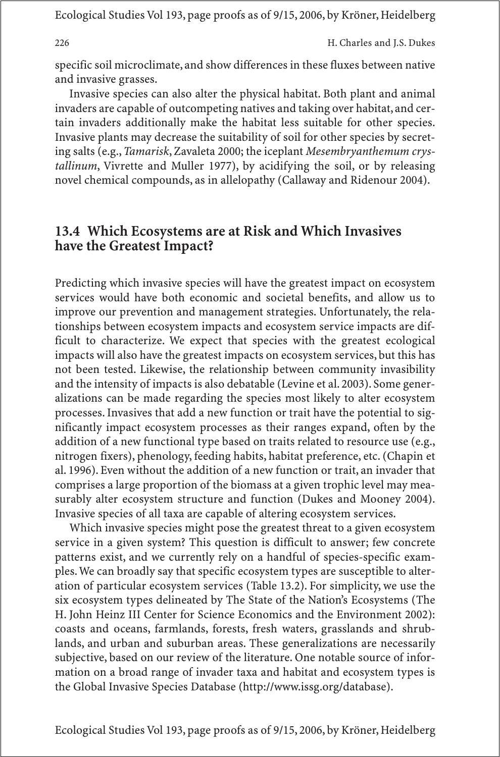```
226 H. Charles and J.S. Dukes
```
specific soil microclimate, and show differences in these fluxes between native and invasive grasses.

Invasive species can also alter the physical habitat. Both plant and animal invaders are capable of outcompeting natives and taking over habitat, and certain invaders additionally make the habitat less suitable for other species. Invasive plants may decrease the suitability of soil for other species by secreting salts (e.g.,*Tamarisk*, Zavaleta 2000; the iceplant *Mesembryanthemum crystallinum*, Vivrette and Muller 1977), by acidifying the soil, or by releasing novel chemical compounds, as in allelopathy (Callaway and Ridenour 2004).

## **13.4 Which Ecosystems are at Risk and Which Invasives have the Greatest Impact?**

Predicting which invasive species will have the greatest impact on ecosystem services would have both economic and societal benefits, and allow us to improve our prevention and management strategies. Unfortunately, the relationships between ecosystem impacts and ecosystem service impacts are difficult to characterize. We expect that species with the greatest ecological impacts will also have the greatest impacts on ecosystem services, but this has not been tested. Likewise, the relationship between community invasibility and the intensity of impacts is also debatable (Levine et al. 2003). Some generalizations can be made regarding the species most likely to alter ecosystem processes. Invasives that add a new function or trait have the potential to significantly impact ecosystem processes as their ranges expand, often by the addition of a new functional type based on traits related to resource use (e.g., nitrogen fixers), phenology, feeding habits, habitat preference, etc. (Chapin et al. 1996). Even without the addition of a new function or trait, an invader that comprises a large proportion of the biomass at a given trophic level may measurably alter ecosystem structure and function (Dukes and Mooney 2004). Invasive species of all taxa are capable of altering ecosystem services.

Which invasive species might pose the greatest threat to a given ecosystem service in a given system? This question is difficult to answer; few concrete patterns exist, and we currently rely on a handful of species-specific examples. We can broadly say that specific ecosystem types are susceptible to alteration of particular ecosystem services (Table 13.2). For simplicity, we use the six ecosystem types delineated by The State of the Nation's Ecosystems (The H. John Heinz III Center for Science Economics and the Environment 2002): coasts and oceans, farmlands, forests, fresh waters, grasslands and shrublands, and urban and suburban areas. These generalizations are necessarily subjective, based on our review of the literature. One notable source of information on a broad range of invader taxa and habitat and ecosystem types is the Global Invasive Species Database (http://www.issg.org/database).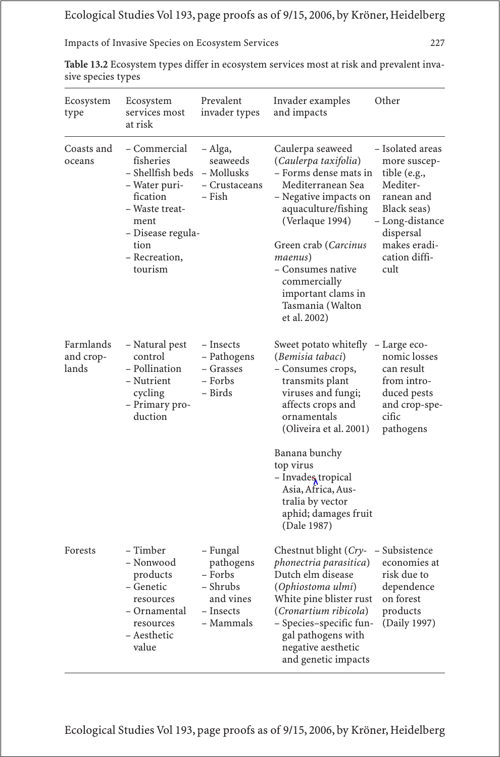Ecosystem Ecosystem Prevalent Invader examples Other<br>type services most invader types and impacts type services most at risk Coasts and oceans – Commercial fisheries – Shellfish beds – Water purification – Waste treatment – Disease regulation – Recreation, tourism – Alga, seaweeds – Mollusks – Crustaceans – Fish Caulerpa seaweed (*Caulerpa taxifolia*) – Forms dense mats in Mediterranean Sea – Negative impacts on aquaculture/fishing (Verlaque 1994) Green crab (*Carcinus maenus*) – Consumes native commercially important clams in Tasmania (Walton et al. 2002) – Isolated areas more susceptible (e.g., Mediterranean and Black seas) – Long-distance dispersal makes eradication difficult Farmlands and croplands – Natural pest control – Pollination – Nutrient cycling – Primary production – Insects – Pathogens – Grasses – Forbs – Birds Sweet potato whitefly – Large eco-(*Bemisia tabaci*) – Consumes crops, transmits plant viruses and fungi; affects crops and ornamentals (Oliveira et al. 2001) Banana bunchy top virus – Invades tropical Asia, Africa, Australia by vector aphid; damages fruit (Dale 1987) nomic losses can result from introduced pests and crop-specific pathogens Forests – Timber – Nonwood products – Genetic resources – Ornamental resources – Aesthetic value – Fungal pathogens – Forbs – Shrubs and vines – Insects – Mammals Chestnut blight (*Cry-*– Subsistence *phonectria parasitica*) Dutch elm disease (*Ophiostoma ulmi*) White pine blister rust on forest (*Cronartium ribicola*) – Species–specific fungal pathogens with negative aesthetic and genetic impacts economies at risk due to dependence products (Daily 1997)

**Table 13.2** Ecosystem types differ in ecosystem services most at risk and prevalent invasive species types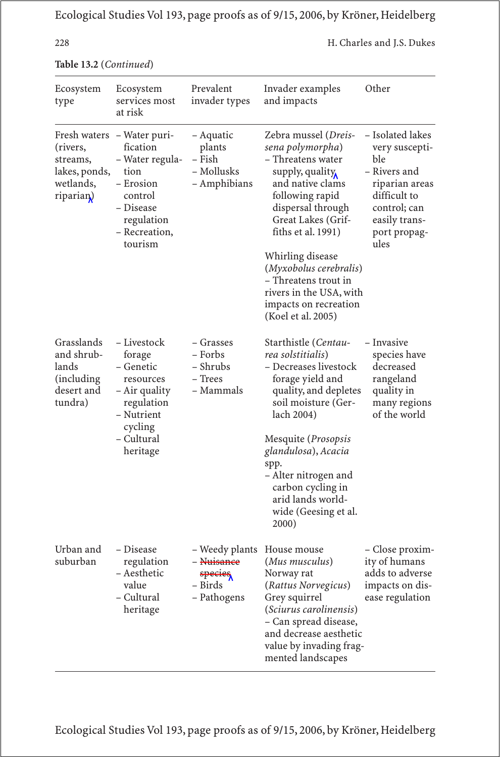228 H. Charles and J.S. Dukes

| Ecosystem<br>type                                                         | Ecosystem<br>services most<br>at risk                                                                                                            | Prevalent<br>invader types                                                                          | Invader examples<br>and impacts                                                                                                                                                                   | Other                                                                                                                                                |  |
|---------------------------------------------------------------------------|--------------------------------------------------------------------------------------------------------------------------------------------------|-----------------------------------------------------------------------------------------------------|---------------------------------------------------------------------------------------------------------------------------------------------------------------------------------------------------|------------------------------------------------------------------------------------------------------------------------------------------------------|--|
| (rivers,<br>streams,<br>lakes, ponds,<br>wetlands,<br>riparian)           | Fresh waters - Water puri-<br>fication<br>– Water regula-<br>tion<br>– Erosion<br>control<br>- Disease<br>regulation<br>– Recreation,<br>tourism | – Aquatic<br>plants<br>– Fish<br>– Mollusks<br>– Amphibians                                         | Zebra mussel (Dreis-<br>sena polymorpha)<br>– Threatens water<br>supply, quality<br>and native clams<br>following rapid<br>dispersal through<br>Great Lakes (Grif-<br>fiths et al. 1991)          | – Isolated lakes<br>very suscepti-<br>ble<br>– Rivers and<br>riparian areas<br>difficult to<br>control; can<br>easily trans-<br>port propag-<br>ules |  |
|                                                                           |                                                                                                                                                  |                                                                                                     | Whirling disease<br>(Myxobolus cerebralis)<br>– Threatens trout in<br>rivers in the USA, with<br>impacts on recreation<br>(Koel et al. 2005)                                                      |                                                                                                                                                      |  |
| Grasslands<br>and shrub-<br>lands<br>(including)<br>desert and<br>tundra) | – Livestock<br>forage<br>– Genetic<br>resources<br>– Air quality<br>regulation<br>- Nutrient<br>cycling<br>– Cultural<br>heritage                | – Grasses<br>– Forbs<br>– Shrubs<br>- Trees<br>– Mammals                                            | Starthistle (Centau-<br>rea solstitialis)<br>– Decreases livestock<br>forage yield and<br>quality, and depletes<br>soil moisture (Ger-<br>lach 2004)                                              | – Invasive<br>species have<br>decreased<br>rangeland<br>quality in<br>many regions<br>of the world                                                   |  |
|                                                                           |                                                                                                                                                  |                                                                                                     | Mesquite (Prosopsis<br>glandulosa), Acacia<br>spp.<br>- Alter nitrogen and<br>carbon cycling in<br>arid lands world-<br>wide (Geesing et al.<br>2000)                                             |                                                                                                                                                      |  |
| Urban and<br>suburban                                                     | – Disease<br>regulation<br>– Aesthetic<br>value<br>– Cultural<br>heritage                                                                        | - Weedy plants House mouse<br>– <del>Nuisance</del><br><del>species</del><br>– Birds<br>– Pathogens | (Mus musculus)<br>Norway rat<br>(Rattus Norvegicus)<br>Grey squirrel<br>(Sciurus carolinensis)<br>- Can spread disease,<br>and decrease aesthetic<br>value by invading frag-<br>mented landscapes | – Close proxim-<br>ity of humans<br>adds to adverse<br>impacts on dis-<br>ease regulation                                                            |  |

**Table 13.2** (*Continued*)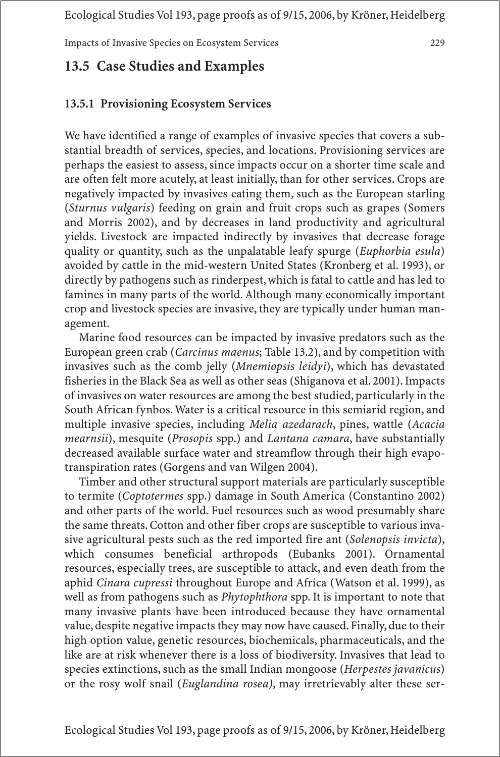## **13.5 Case Studies and Examples**

#### **13.5.1 Provisioning Ecosystem Services**

We have identified a range of examples of invasive species that covers a substantial breadth of services, species, and locations. Provisioning services are perhaps the easiest to assess, since impacts occur on a shorter time scale and are often felt more acutely, at least initially, than for other services. Crops are negatively impacted by invasives eating them, such as the European starling (*Sturnus vulgaris*) feeding on grain and fruit crops such as grapes (Somers and Morris 2002), and by decreases in land productivity and agricultural yields. Livestock are impacted indirectly by invasives that decrease forage quality or quantity, such as the unpalatable leafy spurge (*Euphorbia esula*) avoided by cattle in the mid-western United States (Kronberg et al. 1993), or directly by pathogens such as rinderpest, which is fatal to cattle and has led to famines in many parts of the world. Although many economically important crop and livestock species are invasive, they are typically under human management.

Marine food resources can be impacted by invasive predators such as the European green crab (*Carcinus maenus*; Table 13.2), and by competition with invasives such as the comb jelly (*Mnemiopsis leidyi*), which has devastated fisheries in the Black Sea as well as other seas (Shiganova et al. 2001). Impacts of invasives on water resources are among the best studied, particularly in the South African fynbos. Water is a critical resource in this semiarid region, and multiple invasive species, including *Melia azedarach*, pines, wattle (*Acacia mearnsii*), mesquite (*Prosopis* spp.) and *Lantana camara*, have substantially decreased available surface water and streamflow through their high evapotranspiration rates (Gorgens and van Wilgen 2004).

Timber and other structural support materials are particularly susceptible to termite (*Coptotermes* spp.) damage in South America (Constantino 2002) and other parts of the world. Fuel resources such as wood presumably share the same threats. Cotton and other fiber crops are susceptible to various invasive agricultural pests such as the red imported fire ant (*Solenopsis invicta*), which consumes beneficial arthropods (Eubanks 2001). Ornamental resources, especially trees, are susceptible to attack, and even death from the aphid *Cinara cupressi* throughout Europe and Africa (Watson et al. 1999), as well as from pathogens such as *Phytophthora* spp. It is important to note that many invasive plants have been introduced because they have ornamental value, despite negative impacts they may now have caused. Finally, due to their high option value, genetic resources, biochemicals, pharmaceuticals, and the like are at risk whenever there is a loss of biodiversity. Invasives that lead to species extinctions, such as the small Indian mongoose (*Herpestes javanicus*) or the rosy wolf snail (*Euglandina rosea)*, may irretrievably alter these ser-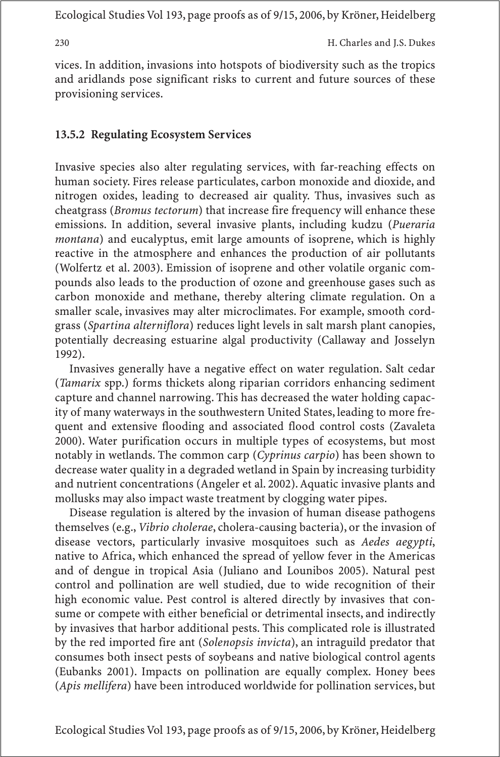```
230 H. Charles and J.S. Dukes
```
vices. In addition, invasions into hotspots of biodiversity such as the tropics and aridlands pose significant risks to current and future sources of these provisioning services.

### **13.5.2 Regulating Ecosystem Services**

Invasive species also alter regulating services, with far-reaching effects on human society. Fires release particulates, carbon monoxide and dioxide, and nitrogen oxides, leading to decreased air quality. Thus, invasives such as cheatgrass (*Bromus tectorum*) that increase fire frequency will enhance these emissions. In addition, several invasive plants, including kudzu (*Pueraria montana*) and eucalyptus, emit large amounts of isoprene, which is highly reactive in the atmosphere and enhances the production of air pollutants (Wolfertz et al. 2003). Emission of isoprene and other volatile organic compounds also leads to the production of ozone and greenhouse gases such as carbon monoxide and methane, thereby altering climate regulation. On a smaller scale, invasives may alter microclimates. For example, smooth cordgrass (*Spartina alterniflora*) reduces light levels in salt marsh plant canopies, potentially decreasing estuarine algal productivity (Callaway and Josselyn 1992).

Invasives generally have a negative effect on water regulation. Salt cedar (*Tamarix* spp.) forms thickets along riparian corridors enhancing sediment capture and channel narrowing. This has decreased the water holding capacity of many waterways in the southwestern United States, leading to more frequent and extensive flooding and associated flood control costs (Zavaleta 2000). Water purification occurs in multiple types of ecosystems, but most notably in wetlands. The common carp (*Cyprinus carpio*) has been shown to decrease water quality in a degraded wetland in Spain by increasing turbidity and nutrient concentrations (Angeler et al. 2002). Aquatic invasive plants and mollusks may also impact waste treatment by clogging water pipes.

Disease regulation is altered by the invasion of human disease pathogens themselves (e.g.,*Vibrio cholerae*, cholera-causing bacteria), or the invasion of disease vectors, particularly invasive mosquitoes such as *Aedes aegypti*, native to Africa, which enhanced the spread of yellow fever in the Americas and of dengue in tropical Asia (Juliano and Lounibos 2005). Natural pest control and pollination are well studied, due to wide recognition of their high economic value. Pest control is altered directly by invasives that consume or compete with either beneficial or detrimental insects, and indirectly by invasives that harbor additional pests. This complicated role is illustrated by the red imported fire ant (*Solenopsis invicta*), an intraguild predator that consumes both insect pests of soybeans and native biological control agents (Eubanks 2001). Impacts on pollination are equally complex. Honey bees (*Apis mellifera*) have been introduced worldwide for pollination services, but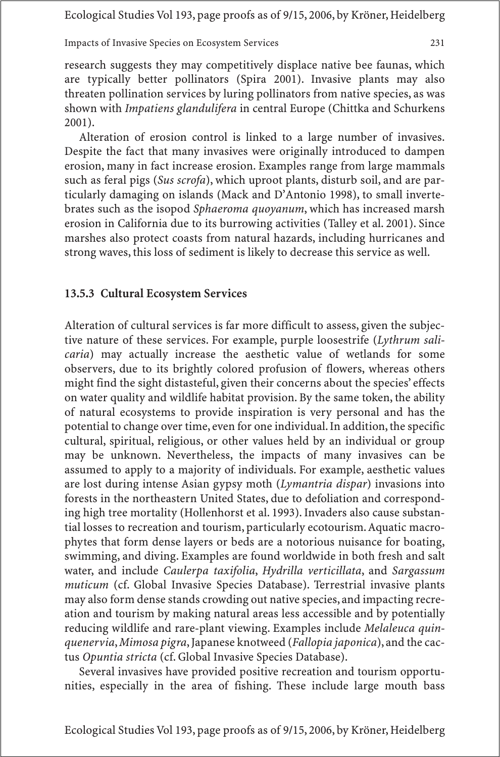research suggests they may competitively displace native bee faunas, which are typically better pollinators (Spira 2001). Invasive plants may also threaten pollination services by luring pollinators from native species, as was shown with *Impatiens glandulifera* in central Europe (Chittka and Schurkens 2001).

Alteration of erosion control is linked to a large number of invasives. Despite the fact that many invasives were originally introduced to dampen erosion, many in fact increase erosion. Examples range from large mammals such as feral pigs (*Sus scrofa*), which uproot plants, disturb soil, and are particularly damaging on islands (Mack and D'Antonio 1998), to small invertebrates such as the isopod *Sphaeroma quoyanum*, which has increased marsh erosion in California due to its burrowing activities (Talley et al. 2001). Since marshes also protect coasts from natural hazards, including hurricanes and strong waves, this loss of sediment is likely to decrease this service as well.

#### **13.5.3 Cultural Ecosystem Services**

Alteration of cultural services is far more difficult to assess, given the subjective nature of these services. For example, purple loosestrife (*Lythrum salicaria*) may actually increase the aesthetic value of wetlands for some observers, due to its brightly colored profusion of flowers, whereas others might find the sight distasteful, given their concerns about the species' effects on water quality and wildlife habitat provision. By the same token, the ability of natural ecosystems to provide inspiration is very personal and has the potential to change over time, even for one individual. In addition, the specific cultural, spiritual, religious, or other values held by an individual or group may be unknown. Nevertheless, the impacts of many invasives can be assumed to apply to a majority of individuals. For example, aesthetic values are lost during intense Asian gypsy moth (*Lymantria dispar*) invasions into forests in the northeastern United States, due to defoliation and corresponding high tree mortality (Hollenhorst et al. 1993). Invaders also cause substantial losses to recreation and tourism, particularly ecotourism. Aquatic macrophytes that form dense layers or beds are a notorious nuisance for boating, swimming, and diving. Examples are found worldwide in both fresh and salt water, and include *Caulerpa taxifolia*, *Hydrilla verticillata*, and *Sargassum muticum* (cf. Global Invasive Species Database). Terrestrial invasive plants may also form dense stands crowding out native species, and impacting recreation and tourism by making natural areas less accessible and by potentially reducing wildlife and rare-plant viewing. Examples include *Melaleuca quinquenervia*,*Mimosa pigra*, Japanese knotweed (*Fallopia japonica*), and the cactus *Opuntia stricta* (cf. Global Invasive Species Database).

Several invasives have provided positive recreation and tourism opportunities, especially in the area of fishing. These include large mouth bass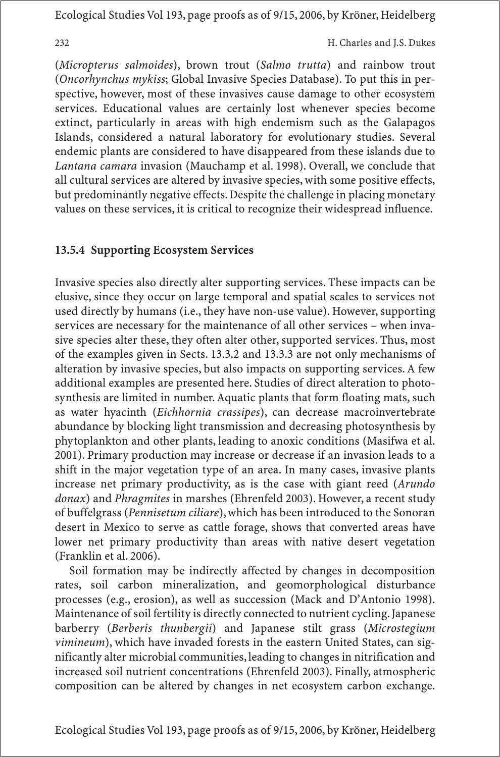232 H. Charles and J.S. Dukes

(*Micropterus salmoides*), brown trout (*Salmo trutta*) and rainbow trout (*Oncorhynchus mykiss*; Global Invasive Species Database). To put this in perspective, however, most of these invasives cause damage to other ecosystem services. Educational values are certainly lost whenever species become extinct, particularly in areas with high endemism such as the Galapagos Islands, considered a natural laboratory for evolutionary studies. Several endemic plants are considered to have disappeared from these islands due to *Lantana camara* invasion (Mauchamp et al. 1998). Overall, we conclude that all cultural services are altered by invasive species, with some positive effects, but predominantly negative effects. Despite the challenge in placing monetary values on these services, it is critical to recognize their widespread influence.

### **13.5.4 Supporting Ecosystem Services**

Invasive species also directly alter supporting services. These impacts can be elusive, since they occur on large temporal and spatial scales to services not used directly by humans (i.e., they have non-use value). However, supporting services are necessary for the maintenance of all other services – when invasive species alter these, they often alter other, supported services. Thus, most of the examples given in Sects. 13.3.2 and 13.3.3 are not only mechanisms of alteration by invasive species, but also impacts on supporting services. A few additional examples are presented here. Studies of direct alteration to photosynthesis are limited in number. Aquatic plants that form floating mats, such as water hyacinth (*Eichhornia crassipes*), can decrease macroinvertebrate abundance by blocking light transmission and decreasing photosynthesis by phytoplankton and other plants, leading to anoxic conditions (Masifwa et al. 2001). Primary production may increase or decrease if an invasion leads to a shift in the major vegetation type of an area. In many cases, invasive plants increase net primary productivity, as is the case with giant reed (*Arundo donax*) and *Phragmites* in marshes (Ehrenfeld 2003). However, a recent study of buffelgrass (*Pennisetum ciliare*), which has been introduced to the Sonoran desert in Mexico to serve as cattle forage, shows that converted areas have lower net primary productivity than areas with native desert vegetation (Franklin et al. 2006).

Soil formation may be indirectly affected by changes in decomposition rates, soil carbon mineralization, and geomorphological disturbance processes (e.g., erosion), as well as succession (Mack and D'Antonio 1998). Maintenance of soil fertility is directly connected to nutrient cycling. Japanese barberry (*Berberis thunbergii*) and Japanese stilt grass (*Microstegium vimineum*), which have invaded forests in the eastern United States, can significantly alter microbial communities, leading to changes in nitrification and increased soil nutrient concentrations (Ehrenfeld 2003). Finally, atmospheric composition can be altered by changes in net ecosystem carbon exchange.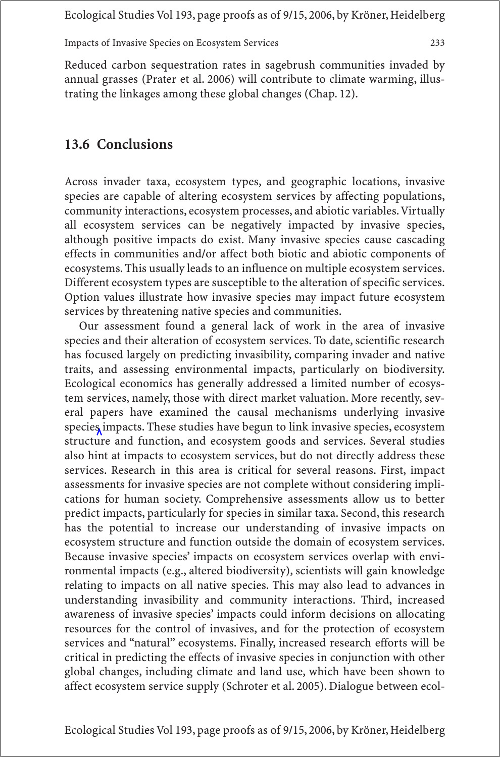Reduced carbon sequestration rates in sagebrush communities invaded by annual grasses (Prater et al. 2006) will contribute to climate warming, illustrating the linkages among these global changes (Chap. 12).

### **13.6 Conclusions**

Across invader taxa, ecosystem types, and geographic locations, invasive species are capable of altering ecosystem services by affecting populations, community interactions, ecosystem processes, and abiotic variables.Virtually all ecosystem services can be negatively impacted by invasive species, although positive impacts do exist. Many invasive species cause cascading effects in communities and/or affect both biotic and abiotic components of ecosystems. This usually leads to an influence on multiple ecosystem services. Different ecosystem types are susceptible to the alteration of specific services. Option values illustrate how invasive species may impact future ecosystem services by threatening native species and communities.

Our assessment found a general lack of work in the area of invasive species and their alteration of ecosystem services. To date, scientific research has focused largely on predicting invasibility, comparing invader and native traits, and assessing environmental impacts, particularly on biodiversity. Ecological economics has generally addressed a limited number of ecosystem services, namely, those with direct market valuation. More recently, several papers have examined the causal mechanisms underlying invasive species impacts. These studies have begun to link invasive species, ecosystem structure and function, and ecosystem goods and services. Several studies also hint at impacts to ecosystem services, but do not directly address these services. Research in this area is critical for several reasons. First, impact assessments for invasive species are not complete without considering implications for human society. Comprehensive assessments allow us to better predict impacts, particularly for species in similar taxa. Second, this research has the potential to increase our understanding of invasive impacts on ecosystem structure and function outside the domain of ecosystem services. Because invasive species' impacts on ecosystem services overlap with environmental impacts (e.g., altered biodiversity), scientists will gain knowledge relating to impacts on all native species. This may also lead to advances in understanding invasibility and community interactions. Third, increased awareness of invasive species' impacts could inform decisions on allocating resources for the control of invasives, and for the protection of ecosystem services and "natural" ecosystems. Finally, increased research efforts will be critical in predicting the effects of invasive species in conjunction with other global changes, including climate and land use, which have been shown to affect ecosystem service supply (Schroter et al. 2005). Dialogue between ecol-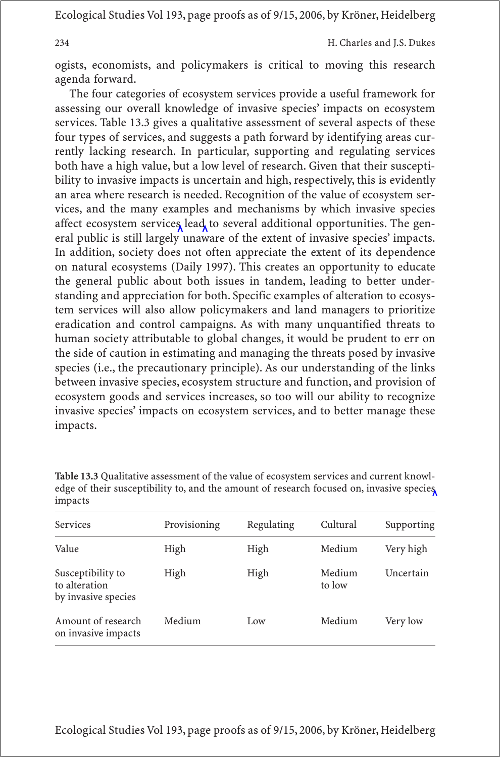234 H. Charles and J.S. Dukes

ogists, economists, and policymakers is critical to moving this research agenda forward.

The four categories of ecosystem services provide a useful framework for assessing our overall knowledge of invasive species' impacts on ecosystem services. Table 13.3 gives a qualitative assessment of several aspects of these four types of services, and suggests a path forward by identifying areas currently lacking research. In particular, supporting and regulating services both have a high value, but a low level of research. Given that their susceptibility to invasive impacts is uncertain and high, respectively, this is evidently an area where research is needed. Recognition of the value of ecosystem services, and the many examples and mechanisms by which invasive species affect ecosystem services lead to several additional opportunities. The general public is still largely unaware of the extent of invasive species' impacts. In addition, society does not often appreciate the extent of its dependence on natural ecosystems (Daily 1997). This creates an opportunity to educate the general public about both issues in tandem, leading to better understanding and appreciation for both. Specific examples of alteration to ecosystem services will also allow policymakers and land managers to prioritize eradication and control campaigns. As with many unquantified threats to human society attributable to global changes, it would be prudent to err on the side of caution in estimating and managing the threats posed by invasive species (i.e., the precautionary principle). As our understanding of the links between invasive species, ecosystem structure and function, and provision of ecosystem goods and services increases, so too will our ability to recognize invasive species' impacts on ecosystem services, and to better manage these impacts.

| Services                                                  | Provisioning | Regulating | Cultural         | Supporting |
|-----------------------------------------------------------|--------------|------------|------------------|------------|
| Value                                                     | High         | High       | Medium           | Very high  |
| Susceptibility to<br>to alteration<br>by invasive species | High         | High       | Medium<br>to low | Uncertain  |
| Amount of research<br>on invasive impacts                 | Medium       | Low        | Medium           | Very low   |

| Table 13.3 Qualitative assessment of the value of ecosystem services and current knowl-  |  |
|------------------------------------------------------------------------------------------|--|
| edge of their susceptibility to, and the amount of research focused on, invasive species |  |
| impacts                                                                                  |  |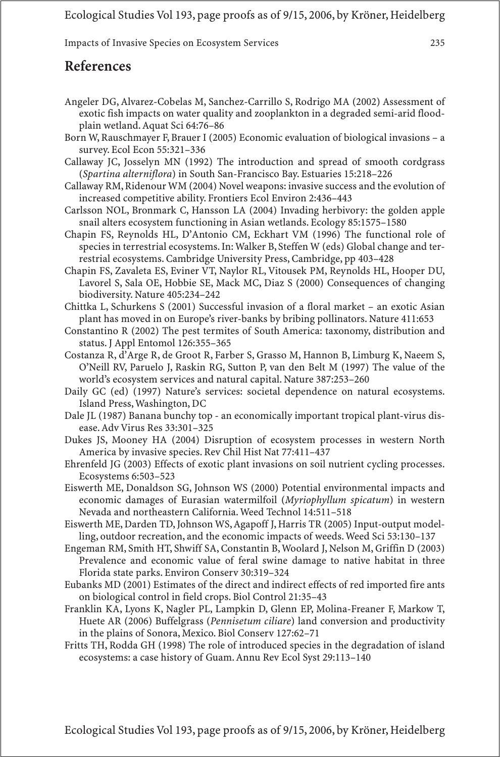## **References**

- Angeler DG, Alvarez-Cobelas M, Sanchez-Carrillo S, Rodrigo MA (2002) Assessment of exotic fish impacts on water quality and zooplankton in a degraded semi-arid floodplain wetland. Aquat Sci 64:76–86
- Born W, Rauschmayer F, Brauer I (2005) Economic evaluation of biological invasions a survey. Ecol Econ 55:321–336
- Callaway JC, Josselyn MN (1992) The introduction and spread of smooth cordgrass (*Spartina alterniflora*) in South San-Francisco Bay. Estuaries 15:218–226
- Callaway RM, Ridenour WM (2004) Novel weapons: invasive success and the evolution of increased competitive ability. Frontiers Ecol Environ 2:436–443
- Carlsson NOL, Bronmark C, Hansson LA (2004) Invading herbivory: the golden apple snail alters ecosystem functioning in Asian wetlands. Ecology 85:1575–1580
- Chapin FS, Reynolds HL, D'Antonio CM, Eckhart VM (1996) The functional role of species in terrestrial ecosystems. In: Walker B, Steffen W (eds) Global change and terrestrial ecosystems. Cambridge University Press, Cambridge, pp 403–428
- Chapin FS, Zavaleta ES, Eviner VT, Naylor RL, Vitousek PM, Reynolds HL, Hooper DU, Lavorel S, Sala OE, Hobbie SE, Mack MC, Diaz S (2000) Consequences of changing biodiversity. Nature 405:234–242
- Chittka L, Schurkens S (2001) Successful invasion of a floral market an exotic Asian plant has moved in on Europe's river-banks by bribing pollinators. Nature 411:653
- Constantino R (2002) The pest termites of South America: taxonomy, distribution and status. J Appl Entomol 126:355–365
- Costanza R, d'Arge R, de Groot R, Farber S, Grasso M, Hannon B, Limburg K, Naeem S, O'Neill RV, Paruelo J, Raskin RG, Sutton P, van den Belt M (1997) The value of the world's ecosystem services and natural capital. Nature 387:253–260
- Daily GC (ed) (1997) Nature's services: societal dependence on natural ecosystems. Island Press, Washington, DC
- Dale JL (1987) Banana bunchy top an economically important tropical plant-virus disease. Adv Virus Res 33:301–325
- Dukes JS, Mooney HA (2004) Disruption of ecosystem processes in western North America by invasive species. Rev Chil Hist Nat 77:411–437
- Ehrenfeld JG (2003) Effects of exotic plant invasions on soil nutrient cycling processes. Ecosystems 6:503–523
- Eiswerth ME, Donaldson SG, Johnson WS (2000) Potential environmental impacts and economic damages of Eurasian watermilfoil (*Myriophyllum spicatum*) in western Nevada and northeastern California. Weed Technol 14:511–518
- Eiswerth ME, Darden TD, Johnson WS, Agapoff J, Harris TR (2005) Input-output modelling, outdoor recreation, and the economic impacts of weeds. Weed Sci 53:130–137
- Engeman RM, Smith HT, Shwiff SA, Constantin B, Woolard J, Nelson M, Griffin D (2003) Prevalence and economic value of feral swine damage to native habitat in three Florida state parks. Environ Conserv 30:319–324
- Eubanks MD (2001) Estimates of the direct and indirect effects of red imported fire ants on biological control in field crops. Biol Control 21:35–43
- Franklin KA, Lyons K, Nagler PL, Lampkin D, Glenn EP, Molina-Freaner F, Markow T, Huete AR (2006) Buffelgrass (*Pennisetum ciliare*) land conversion and productivity in the plains of Sonora, Mexico. Biol Conserv 127:62–71
- Fritts TH, Rodda GH (1998) The role of introduced species in the degradation of island ecosystems: a case history of Guam. Annu Rev Ecol Syst 29:113–140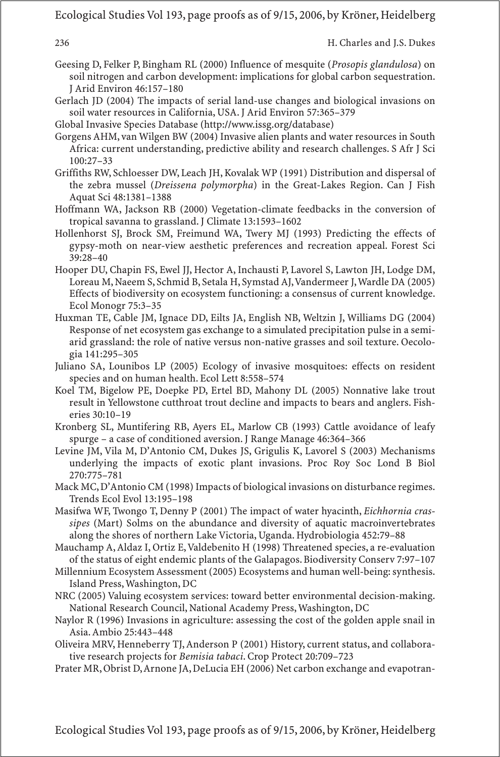236 H. Charles and J.S. Dukes

- Geesing D, Felker P, Bingham RL (2000) Influence of mesquite (*Prosopis glandulosa*) on soil nitrogen and carbon development: implications for global carbon sequestration. J Arid Environ 46:157–180
- Gerlach JD (2004) The impacts of serial land-use changes and biological invasions on soil water resources in California, USA. J Arid Environ 57:365–379
- Global Invasive Species Database (http://www.issg.org/database)
- Gorgens AHM, van Wilgen BW (2004) Invasive alien plants and water resources in South Africa: current understanding, predictive ability and research challenges. S Afr J Sci 100:27–33
- Griffiths RW, Schloesser DW, Leach JH, Kovalak WP (1991) Distribution and dispersal of the zebra mussel (*Dreissena polymorpha*) in the Great-Lakes Region. Can J Fish Aquat Sci 48:1381–1388
- Hoffmann WA, Jackson RB (2000) Vegetation-climate feedbacks in the conversion of tropical savanna to grassland. J Climate 13:1593–1602
- Hollenhorst SJ, Brock SM, Freimund WA, Twery MJ (1993) Predicting the effects of gypsy-moth on near-view aesthetic preferences and recreation appeal. Forest Sci 39:28–40
- Hooper DU, Chapin FS, Ewel JJ, Hector A, Inchausti P, Lavorel S, Lawton JH, Lodge DM, Loreau M, Naeem S, Schmid B, Setala H, Symstad AJ,Vandermeer J,Wardle DA (2005) Effects of biodiversity on ecosystem functioning: a consensus of current knowledge. Ecol Monogr 75:3–35
- Huxman TE, Cable JM, Ignace DD, Eilts JA, English NB, Weltzin J, Williams DG (2004) Response of net ecosystem gas exchange to a simulated precipitation pulse in a semiarid grassland: the role of native versus non-native grasses and soil texture. Oecologia 141:295–305
- Juliano SA, Lounibos LP (2005) Ecology of invasive mosquitoes: effects on resident species and on human health. Ecol Lett 8:558–574
- Koel TM, Bigelow PE, Doepke PD, Ertel BD, Mahony DL (2005) Nonnative lake trout result in Yellowstone cutthroat trout decline and impacts to bears and anglers. Fisheries 30:10–19
- Kronberg SL, Muntifering RB, Ayers EL, Marlow CB (1993) Cattle avoidance of leafy spurge – a case of conditioned aversion. J Range Manage 46:364–366
- Levine JM, Vila M, D'Antonio CM, Dukes JS, Grigulis K, Lavorel S (2003) Mechanisms underlying the impacts of exotic plant invasions. Proc Roy Soc Lond B Biol 270:775–781
- Mack MC, D'Antonio CM (1998) Impacts of biological invasions on disturbance regimes. Trends Ecol Evol 13:195–198
- Masifwa WF, Twongo T, Denny P (2001) The impact of water hyacinth, *Eichhornia crassipes* (Mart) Solms on the abundance and diversity of aquatic macroinvertebrates along the shores of northern Lake Victoria, Uganda. Hydrobiologia 452:79–88
- Mauchamp A, Aldaz I, Ortiz E,Valdebenito H (1998) Threatened species, a re-evaluation of the status of eight endemic plants of the Galapagos. Biodiversity Conserv 7:97–107
- Millennium Ecosystem Assessment (2005) Ecosystems and human well-being: synthesis. Island Press, Washington, DC
- NRC (2005) Valuing ecosystem services: toward better environmental decision-making. National Research Council, National Academy Press, Washington, DC
- Naylor R (1996) Invasions in agriculture: assessing the cost of the golden apple snail in Asia. Ambio 25:443–448
- Oliveira MRV, Henneberry TJ, Anderson P (2001) History, current status, and collaborative research projects for *Bemisia tabaci*. Crop Protect 20:709–723
- Prater MR, Obrist D,Arnone JA, DeLucia EH (2006) Net carbon exchange and evapotran-